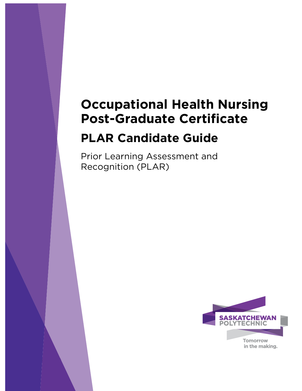# **Occupational Health Nursing**

# **PLAR Candidate Guide**

**Prior Learning Assessment and** Prior Learning Associations and  $R = R$ 

**Title Page**

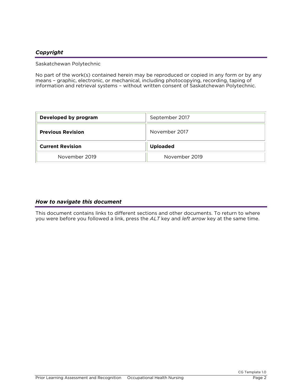### *Copyright*

Saskatchewan Polytechnic

No part of the work(s) contained herein may be reproduced or copied in any form or by any means - graphic, electronic, or mechanical, including photocopying, recording, taping of information and retrieval systems – without written consent of Saskatchewan Polytechnic information and retrieval systems – without written consent of Saskatchewan Polytechnic.

| Developed by program     | September 2017  |  |
|--------------------------|-----------------|--|
| <b>Previous Revision</b> | November 2017   |  |
| <b>Current Revision</b>  | <b>Uploaded</b> |  |
| November 2019            | November 2019   |  |

### *How to navigate this document*

You were before you followed a link, press the ALT key and *left arrow* key at the same time. you were before you followed a link, press the *ALT* key and *left arrow* key at the same time.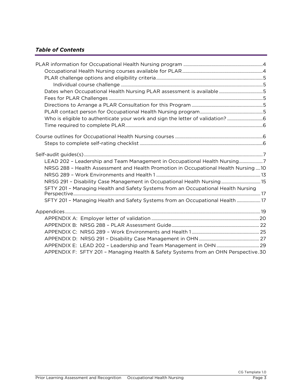### *Table of Contents*

| Dates when Occupational Health Nursing PLAR assessment is available5                |  |
|-------------------------------------------------------------------------------------|--|
|                                                                                     |  |
|                                                                                     |  |
|                                                                                     |  |
| Who is eligible to authenticate your work and sign the letter of validation?  6     |  |
|                                                                                     |  |
|                                                                                     |  |
|                                                                                     |  |
|                                                                                     |  |
|                                                                                     |  |
| LEAD 202 - Leadership and Team Management in Occupational Health Nursing7           |  |
| NRSG 288 - Health Assessment and Health Promotion in Occupational Health Nursing 10 |  |
|                                                                                     |  |
| NRSG 291 - Disability Case Management in Occupational Health Nursing 15             |  |
| SFTY 201 - Managing Health and Safety Systems from an Occupational Health Nursing   |  |
| SFTY 201 - Managing Health and Safety Systems from an Occupational Health  17       |  |
|                                                                                     |  |
|                                                                                     |  |
|                                                                                     |  |
|                                                                                     |  |
|                                                                                     |  |
|                                                                                     |  |
| APPENDIX F: SFTY 201 - Managing Health & Safety Systems from an OHN Perspective.30  |  |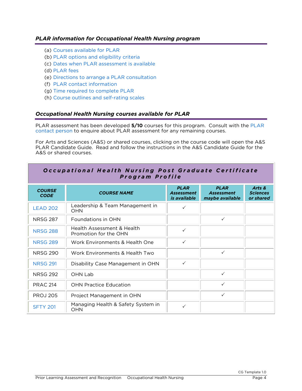### <span id="page-3-0"></span>*PLAR information for Occupational Health Nursing program*

- 
- (a) [Courses available for PLAR](#page-3-1)<br>(b) PLAR options and eligibility criteria
- (c) Dates when PLAR assessment is available
- (d) PLAR fees
- (e) Directions to arrange a PLAR consultation
- (f) PLAR contact information
- (g) Time required to complete PLAR
- (h) Course outlines and self-rating scales (h) Course outlines and self-rating scales

### <span id="page-3-1"></span>*Occupational Health Nursing courses available for PLAR*

[PLAR assessme](#page-4-5)nt has been developed **5/10** courses for this program. Consult with the [PLAR](#page-4-5)  contact person to enquire about PLAR assessment for any remaining courses.

For Arts and Sciences (A&S) or shared courses, clicking on the course code will open the A&S A&S or shared courses. A&S or shared courses.

Occupational Health Nursing Post Graduate Certificate

| Program Profile              |                                                     |                                                         |                                                     |                                        |  |
|------------------------------|-----------------------------------------------------|---------------------------------------------------------|-----------------------------------------------------|----------------------------------------|--|
| <b>COURSE</b><br><b>CODE</b> | <b>COURSE NAME</b>                                  | <b>PLAR</b><br><b>Assessment</b><br><i>is available</i> | <b>PLAR</b><br><b>Assessment</b><br>maybe available | Arts &<br><b>Sciences</b><br>or shared |  |
| <b>LEAD 202</b>              | Leadership & Team Management in<br><b>OHN</b>       | $\checkmark$                                            |                                                     |                                        |  |
| <b>NRSG 287</b>              | Foundations in OHN                                  |                                                         | $\checkmark$                                        |                                        |  |
| <b>NRSG 288</b>              | Health Assessment & Health<br>Promotion for the OHN | $\checkmark$                                            |                                                     |                                        |  |
| <b>NRSG 289</b>              | Work Environments & Health One                      | $\checkmark$                                            |                                                     |                                        |  |
| <b>NRSG 290</b>              | Work Environments & Health Two                      |                                                         | ✓                                                   |                                        |  |
| <b>NRSG 291</b>              | Disability Case Management in OHN                   | $\checkmark$                                            |                                                     |                                        |  |
| <b>NRSG 292</b>              | OHN Lab                                             |                                                         | ✓                                                   |                                        |  |
| <b>PRAC 214</b>              | <b>OHN Practice Education</b>                       |                                                         | $\checkmark$                                        |                                        |  |
| <b>PROJ 205</b>              | Project Management in OHN                           |                                                         | ✓                                                   |                                        |  |
| <b>SFTY 201</b>              | Managing Health & Safety System in<br>OHN           | $\checkmark$                                            |                                                     |                                        |  |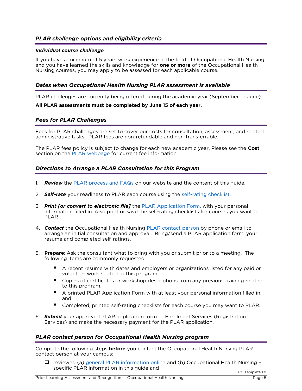### <span id="page-4-0"></span>*PLAR challenge options and eligibility criteria*

### <span id="page-4-1"></span>*Individual course challenge*

If you have a minimum of 5 years work experience in the field of Occupational Health Nursing<br>and you have learned the skills and knowledge for **one or more** of the Occupational Health Nursing courses, you may apply to be assessed for each applicable course. Nursing courses, you may apply to be assessed for each applicable course.

### <span id="page-4-2"></span>*Dates when Occupational Health Nursing PLAR assessment is available*

PLAR challenges are currently being offered during the academic year (September to June).

#### **All PLAR assessments must be completed by June 15 of each year.**

### <span id="page-4-3"></span>*Fees for PLAR Challenges*

Fees for PLAR challenges are set to cover our costs for consultation, assessment, and related administrative tasks. PLAR fees are non-refundable and non-transferrable. administrative tasks. PLAR fees are non-refundable and non-transferrable.

The PLAR fee[s policy is subject](https://saskpolytech.ca/admissions/get-credit/plar.aspx) to change for each new academic year. Please see the **Cost** section on the PLAR webpage for current fee information.

### <span id="page-4-4"></span>*Directions to Arrange a PLAR Consultation for this Program*

- 1. *Review* the [PLAR process and FAQs](https://saskpolytech.ca/admissions/get-credit/plar.aspx) on our website an[d the content of this g](#page-5-3)uide.
- 2. *Self-rate* your readiness to PLAR each [course using the self-ratin](http://saskpolytech.ca/admissions/resources/documents/plar-application-form.pdf)g checklist.
- 3. *Print [or convert to electronic file]* the PLAR Application Form, with your personal information filled in. Also print or save the self-rating checklists for courses you want to
- 4. **Contact** the Occupational Health Nursing [PLAR contact person](#page-4-5) by phone or email to arrange an initial consultation and approval. Bring/send a PLAR application form, your  $\frac{1}{2}$  resume and completed self-ratings. resume and completed self-ratings.
- 5. **Prepare**: Ask the consultant what to bring with you or submit prior to a meeting. The following items are commonly requested:
	- A recent resume with dates and employers or organizations listed for any paid or volunteer work related to this program,
	- Copies of certificates or workshop descriptions from any previous training related to this program.
	- A printed PLAR Application Form with at least your personal information filled in,<br>and
	- Completed, printed self-rating checklists for each course you may want to PLAR.
- **Services)** and make the necessary payment for the PLAR application Services) and make the necessary payment for the PLAR application.

### <span id="page-4-5"></span>*PLAR contact person for Occupational Health Nursing program*

Complete the following steps **before** you contact the Occupational Health Nursing PLAR contact person at y[our campus:](http://saskpolytech.ca/admissions/resources/prior-learning-process.aspx)

□ reviewed (a) general PLAR information online and (b) Occupational Health Nursing –<br>specific PLAR information in this quide and specific PLAR information in this guide and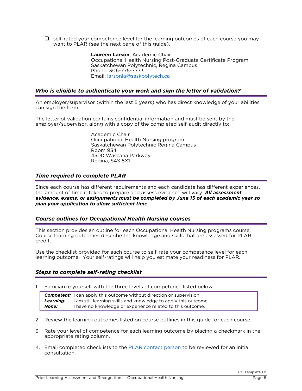$\Box$  self-rated your competence level for the learning outcomes of each course you may want to PLAR (see the next page of this quide). want to PLACE and this next page of this guide).

> **Laureen Larson**, Academic Chair Saskatchewan Polytechnic, Regina Campus Phone: 306-775-7773 Email: larsonla@saskpolytech.ca Email: larsonla@saskpolytech.ca

### <span id="page-5-0"></span>*Who is eligible to authenticate your work and sign the letter of validation?*

An employer/supervisor (within the last 5 years) who has direct knowledge of your abilities can sign the form.

 $\epsilon$  employer/supervisor, along with a copy of the completed self-audit directly to employer/supervisor, along with a copy of the completed self-audit directly to:

> Academic Chair<br>Occupational Health Nursing program Saskatchewan Polytechnic Regina Campus Room 934 4500 Wascana Parkway Regina, S4S 5X1  $R_{\rm F}$

### <span id="page-5-4"></span><span id="page-5-1"></span>*Time required to complete PLAR*

Since each course has different requirements and each candidate has different experiences, the amount of time it takes to prepare and assess evidence will vary. **All assessment** evidence, exams, or assignments must be completed by June 15 of each academic year so plan your application to allow sufficient time. *plan your application to allow sufficient time.*

### <span id="page-5-2"></span>*Course outlines for Occupational Health Nursing courses*

This section provides an outline for each Occupational Health Nursing programs course.<br>Course learning outcomes describe the knowledge and skills that are assessed for PLAR Course learning outcomes describe the knowledge and skills that are assessed for PLAR credit.

Learning outcome. Your self-ratings will help you estimate your readiness for PLAR learning outcome. Your self-ratings will help you estimate your readiness for PLAR.

### <span id="page-5-3"></span>*Steps to complete self-rating checklist*

1. Familiarize yourself with the three levels of competence listed below: **Competent:** I can apply this outcome without direction or supervision.<br>**Learning:** I am still learning skills and knowledge to apply this outcome. **None:** I have no knowledge or experience related to this outcome. *None:* I have no knowledge or experience related to this outcome.

- 2. Review the learning outcomes listed on course outlines in this guide for each course.
- 3. Rate your level of competence for each learning outcome by placing a checkmark in the appropriate rating column.
- 4. Email completed checklists to the [PLAR contact person](#page-4-5) to be reviewed for an initial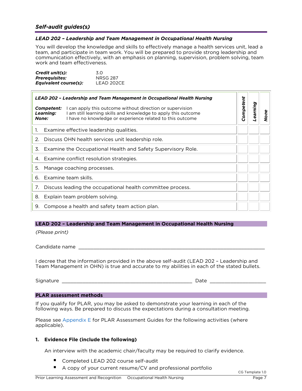<span id="page-6-1"></span><span id="page-6-0"></span>*LEAD 202 – Leadership and Team Management in Occupational Health Nursing* team, and participate in team work. You will be prepared to provide strong leadership and communication effectively, with an emphasis on planning, supervision, problem solving, team work and team effectiveness. work and team effective effective

*Equivalent course(s):* LEAD 202CE

| 3.0             |
|-----------------|
| <b>NRSG 287</b> |
| LEAD 202CE      |
|                 |

| LEAD 202 - Leadership and Team Management in Occupational Health Nursing |                                                                                                                                                                                        |           |          |      |
|--------------------------------------------------------------------------|----------------------------------------------------------------------------------------------------------------------------------------------------------------------------------------|-----------|----------|------|
| Competent:<br>Learning:<br>None:                                         | I can apply this outcome without direction or supervision<br>am still learning skills and knowledge to apply this outcome<br>I have no knowledge or experience related to this outcome | Competent | Learning | None |
| 1.                                                                       | Examine effective leadership qualities.                                                                                                                                                |           |          |      |
| 2.                                                                       | Discuss OHN health services unit leadership role.                                                                                                                                      |           |          |      |
| Examine the Occupational Health and Safety Supervisory Role.<br>3.       |                                                                                                                                                                                        |           |          |      |
| Examine conflict resolution strategies.<br>4.                            |                                                                                                                                                                                        |           |          |      |
| Manage coaching processes.<br>5.                                         |                                                                                                                                                                                        |           |          |      |
| 6.                                                                       | – Examine team skills.                                                                                                                                                                 |           |          |      |
| 7.                                                                       | Discuss leading the occupational health committee process.                                                                                                                             |           |          |      |
| 8.                                                                       | Explain team problem solving.                                                                                                                                                          |           |          |      |
| Compose a health and safety team action plan.<br>9.                      |                                                                                                                                                                                        |           |          |      |

### **LEAD 202 – Leadership and Team Management in Occupational Health Nursing**

*(Please print)*

Candidate name \_\_\_\_\_\_\_\_\_\_\_\_\_\_\_\_\_\_\_\_\_\_\_\_\_\_\_\_\_\_\_\_\_\_\_\_\_\_\_\_\_\_\_\_\_\_\_\_\_\_\_\_\_\_\_\_\_\_\_\_\_\_\_

I decree that the information provided in the information provided in the intervention provided in the stated bullets Team Management in OHN) is true and accurate to my abilities in each of the stated bullets.

 $S$  , where  $\frac{1}{2}$  and  $\frac{1}{2}$  and  $\frac{1}{2}$  and  $\frac{1}{2}$  and  $\frac{1}{2}$  and  $\frac{1}{2}$  and  $\frac{1}{2}$  and  $\frac{1}{2}$  and  $\frac{1}{2}$  and  $\frac{1}{2}$  and  $\frac{1}{2}$  and  $\frac{1}{2}$  and  $\frac{1}{2}$  and  $\frac{1}{2}$  and  $\frac{1}{2}$  and

#### **PLAR assessment methods**

If you qualify for PLAR, you may be asked to demonstrate your learning in each of the following ways. Be prepared to discuss the expectations during a consultation meeting. following ways. [Be prep](#page-28-1)ared to discuss the expectations during a consultation meeting.

Please see Appendix E for PLAR Assessment Guides for the following activities (where applicable). applicable).

### **1. Evidence File (include the following)**

An interview with the academic chair/faculty may be required to clarify evidence.

- Completed LEAD 202 course self-audit<br>■ A copy of your current resume/CV and
- A copy of your current resume/CV and professional portfolio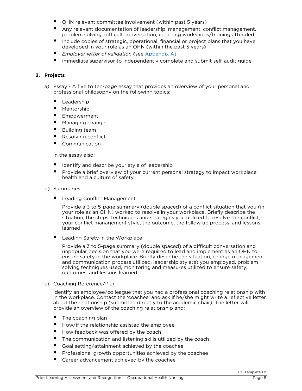- OHN relevant committee involvement (within past 5 years)<br>■ Any relevant documentation of leadership management co
- Any relevant documentation of leadership, management, conflict management, problem solving, difficult conversation, coaching workshops/training attended
- Include copies of strategic, operational, financial or project plans that you have<br>developed in your role as an OHN (within the past 5 years)
- **Employer letter of validation (see Appendix A)**<br> **•** lease slight a succession to independently a small to and subs
- Immediate supervisor to independently complete and submit self-audit quide

### **2. Projects**

- a) Essay A five to ten-page essay that provides an overview of your personal and professional philosophy on the following topics: professional philosophy on the following topics:
	- Leadership<br>■ Mentorship
	- Mentorship<br>Empowerm
	- Empowerment<br>■ Managing chan
	- Managing change<br>■ Ruilding team
	- Building team
	- Resolving conflict<br>Communication
	- Communication

In the essay also:

- Identify and describe your style of leadership<br>■ Provide a brief overview of your current perse
- Provide a brief overview of your current personal strategy to impact workplace health and a culture of safety

#### b) Summaries b) Summaries

■ Leading Conflict Management<br>Provide a 3 to 5-page summary (double spaced) of a conflict situation that you (in your role as an OHN) worked to resolve in your workplace. Briefly describe the situation, the steps, techniques and strategies you utilized to resolve the conflict, your conflict management style, the outcome, the follow up process, and lessons your commercial management style, the outcome, the follow up process, and lessons

Leading Safety in the Workplace<br>Provide a 3 to 5-page summary (double spaced) of a difficult conversation and unpopular decision that you were required to lead and implement as an OHN to ensure safety in the workplace. Briefly describe the situation, change management and communication process utilized, leadership style(s) you employed, problem solving techniques used, monitoring and measures utilized to ensure safety. outcomes, and lessons learned. outcomes, and lessons learned.

c) Coaching Reference/Plan in the workplace. Contact the 'coachee' and ask if he/she might write a reflective letter about the relationship (submitted directly to the academic chair). The letter will provide an overview of the coaching relationship and: provide an overview of the coaching relationship and:

- $\blacksquare$  The coaching plan
- How/if the relationship assisted the employee  $\blacksquare$  How feedback was offered by the coach
- $\blacksquare$  How feedback was offered by the coach  $\blacksquare$
- The communication and listening skills utilized by the coach<br>■ Goal setting (attainment achieved by the coachee
- Goal setting/attainment achieved by the coachee
- **Professional growth opportunities achieved by the coachee**<br>**P** Career advancement achieved by the coachee
- Career advancement achieved by the coachee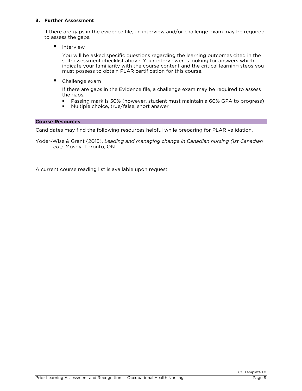### **3. Further Assessment**

If there are gaps in the evidence file, an interview and/or challenge exam may be required to assess the gaps.

■ Interview<br>You will be asked specific questions regarding the learning outcomes cited in the self-assessment checklist above. Your interviewer is looking for answers which indicate your familiarity with the course content and the critical learning steps you must possess to obtain PLAR certification for this course. must possess to obtain PLAR certification for this course.

■ Challenge exam

If there are gaps in the Evidence file, a challenge exam may be required to assess the gaps.

- **The gapa**<br>**•** Passing mark is 50% (however, student must maintain a 60% GPA to progress)<br>• Multiple choice, true/false, short answer
- **Multiple choice, true/false, short answer**

#### **Course Resources**

Candidates may find the following resources helpful while preparing for PLAR validation. Candidates may find the following resources helpful while preparing for PLAR validation.

Yoder-Wise & Grant (2015). *Leading and managing change in Canadian nursing (1st Canadian ed.)*. Mosby: Toronto, ON.

A current course reading list is available upon request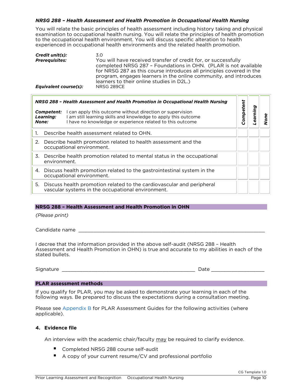# <span id="page-9-0"></span>*NRSG 288 – Health Assessment and Health Promotion in Occupational Health Nursing*

examination to occupational health nursing. You will relate the principles of health promotion to the occupational health environment. You will discuss specific alteration to health experienced in occupational health environments and the related health promotion. experienced in occupational health environments and the related health promotion.

| Credit unit(s):       | 3.0                                                                                                                                                                                                                                                                                                                         |
|-----------------------|-----------------------------------------------------------------------------------------------------------------------------------------------------------------------------------------------------------------------------------------------------------------------------------------------------------------------------|
| <b>Prerequisites:</b> | You will have received transfer of credit for, or successfully<br>completed NRSG 287 - Foundations in OHN. (PLAR is not available<br>for NRSG 287 as this course introduces all principles covered in the<br>program, engages learners in the online community, and introduces<br>learners to their online studies in D2L.) |
| Equivalent course(s): | NRSG 289CE                                                                                                                                                                                                                                                                                                                  |

| NRSG 288 - Health Assessment and Health Promotion in Occupational Health Nursing                                                                                                                                         |  |           |         |   |
|--------------------------------------------------------------------------------------------------------------------------------------------------------------------------------------------------------------------------|--|-----------|---------|---|
| can apply this outcome without direction or supervision<br>Competent:<br>am still learning skills and knowledge to apply this outcome<br>Learning:<br>I have no knowledge or experience related to this outcome<br>None: |  | Competent | earning | Φ |
| Describe health assessment related to OHN.                                                                                                                                                                               |  |           |         |   |
| Describe health promotion related to health assessment and the<br>2.<br>occupational environment.                                                                                                                        |  |           |         |   |
| Describe health promotion related to mental status in the occupational<br>3.<br>environment.                                                                                                                             |  |           |         |   |
| 4. Discuss health promotion related to the gastrointestinal system in the<br>occupational environment.                                                                                                                   |  |           |         |   |
| Discuss health promotion related to the cardiovascular and peripheral<br>5.<br>vascular systems in the occupational environment.                                                                                         |  |           |         |   |

### **NRSG 288 – Health Assessment and Health Promotion in OHN**

*(Please print)*

Candidate name \_\_\_\_\_\_\_\_\_\_\_\_\_\_\_\_\_\_\_\_\_\_\_\_\_\_\_\_\_\_\_\_\_\_\_\_\_\_\_\_\_\_\_\_\_\_\_\_\_\_\_\_\_\_\_\_\_\_\_\_\_\_\_

I decree that the information provided in the above self-audit (NRSG 288 - Health<br>Assessment and Health Promotion in OHN) is true and accurate to my abilities in each of the stated bullets.

 $S_{1}$  , and  $S_{2}$  and  $S_{3}$  and  $S_{4}$  and  $S_{5}$  and  $S_{6}$  and  $S_{7}$  and  $S_{8}$  and  $S_{9}$  and  $S_{9}$  and  $S_{9}$  and  $S_{9}$  and  $S_{9}$  and  $S_{9}$  and  $S_{9}$  and  $S_{9}$  and  $S_{9}$  and  $S_{9}$  and  $S_{9}$  and  $S_{9}$  and

**PLAR assessment methods**<br>If you qualify for PLAR, you may be asked to demonstrate your learning in each of the following ways. Be prepared to discuss the expectations during a consultation meeting. following [ways. Be prep](#page-21-1)ared to discuss the expectations during a consultation meeting.

Please see Appendix B for PLAR Assessment Guides for the following activities (where applicable). applicable).

#### **4. Evidence file**

An interview with the academic chair/faculty may be required to clarify evidence.

- Completed NRSG 288 course self-audit<br>■ A copy of your current resume/CV and
- A copy of your current resume/CV and professional portfolio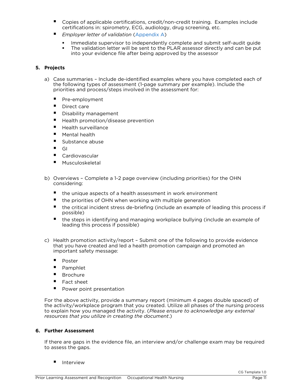- Copies of applicable certifications, credit/non-credit training. Examples include certifications in: spirometry, ECG, audiology, drug screening, etc.
- **■** *Employer letter of validation* [\(Appendix A\)](#page-19-1)
	- Immediate supervisor to independently complete and submit self-audit guide<br>In the validation letter will be sent to the PLAR assessor directly and can be put
	- The validation letter will be sent to the PLAR assessor directly and can be put into your evidence file after being approved by the assessor into your evidence file after being approved by the assessor

### **5. Projects**

- a) Case summaries Include de-identified examples where you have completed each of the following types of assessment (1-page summary per example). Include the priorities and process/steps involved in the assessment for: priorities and process/steps involved in the assessment for:
	- Pre-employment<br>Published care
	- Direct care<br>■ Disability m
	- Disability management<br>Disability promotion/disas
	- Health promotion/disease prevention
	- Health surveillance<br>■ Mental bealth
	- $M$  Mental health<br> $M$  Substance abu
	- Substance abuse
	- $\begin{bmatrix} 1 & 1 \\ 1 & 1 \end{bmatrix}$
	- Cardiovascular
	- **Musculoskeletal**
- b) Overviews Complete a 1-2 page overview (including priorities) for the OHN considering:
	- $\blacksquare$  the unique aspects of a health assessment in work environment<br> $\blacksquare$  the priorities of OHN when working with multiple generation
	- $\blacksquare$  the priorities of OHN when working with multiple generation<br> $\blacksquare$  the critical incident stress de-briefing (include an example of
	- the critical incident stress de-briefing (include an example of leading this process if
	- the steps in identifying and managing workplace bullying (include an example of leading this process if possible) leading this process if possible)
- c) Health promotion activity/report Submit one of the following to provide evidence important safety message: important safety message:
	- Poster<br>Pomph
	- Pamphlet<br>■ Brochure
	- $\blacksquare$  Brochure
	- Fact sheet<br>■ Power poir
	- Power point presentation

For the above activity, provide a summary report (minimum 4 pages double spaced) of the activity/workplace program that you created. Utilize all phases of the nursing process to explain how you managed the activity. (Please ensure to acknowledge any external resources that you utilize in creating the document.) *resources that you utilize in creating the document*.)

### **6. Further Assessment**

If there are gaps in the evidence file, an interview and/or challenge exam may be required to assess the gaps. to assess the gaps.

**I** Interview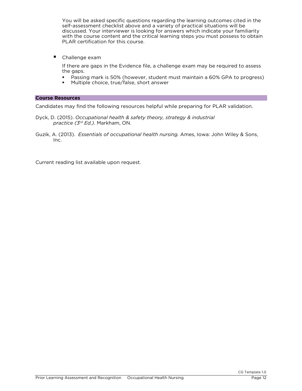You will be asked specific questions regarding the learning outcomes cited in the self-assessment checklist above and a variety of practical situations will be discussed. Your interviewer is looking for answers which indicate your familiarity with the course content and the critical learning steps you must possess to obtain PLAR certification for this course. PLAR certification for this course.

■ Challenge exam<br>If there are gaps in the Evidence file, a challenge exam may be required to assess If the are gaps in the Evidence file, a challenge examining to required to assess

- **The gapa**<br>**•** Passing mark is 50% (however, student must maintain a 60% GPA to progress)<br>• Multiple choice true/false short answer
- Multiple choice, true/false, short answer

**Course Resources**<br>Candidates may find the following resources helpful while preparing for PLAR validation. Candidates may find the following resources helpful while preparing for PLAR validation.

- Dyck, D. (2015). *Occupational health & safety theory, strategy & industrial practice (3rd Ed.)*. Markham, ON.
- Guzik, A. (2013). *Essentials of occupational health nursing.* Ames, Iowa: John Wiley & Sons, Inc.

Current reading list available upon request.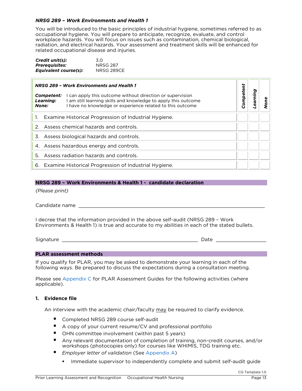#### <span id="page-12-0"></span>**NRSG 289 - Work Environments and Health 1**

You will be introduced to the basic principles of industrial hygiene, sometimes referred to as occupational hygiene. You will prepare to anticipate, recognize, evaluate, and control workplace hazards. You will focus on issues such as contamination, chemical biological, radiation, and electrical hazards. Your assessment and treatment skills will be enhanced for related occupational disease and injuries. related occupational disease and injuries.

| Credit unit(s):              | 3.O             |
|------------------------------|-----------------|
| <b>Prerequisites:</b>        | <b>NRSG 287</b> |
| <b>Equivalent course(s):</b> | NRSG 289CE      |
|                              |                 |

| <b>NRSG 289 - Work Environments and Health 1</b>                                                                                                                                                                             |           |         |  |
|------------------------------------------------------------------------------------------------------------------------------------------------------------------------------------------------------------------------------|-----------|---------|--|
| I can apply this outcome without direction or supervision<br>Competent:<br>I am still learning skills and knowledge to apply this outcome<br>Learning:<br>I have no knowledge or experience related to this outcome<br>None: | Competent | earning |  |
| Examine Historical Progression of Industrial Hygiene.<br>1.                                                                                                                                                                  |           |         |  |
| Assess chemical hazards and controls.<br>$\mathcal{P}$                                                                                                                                                                       |           |         |  |
| Assess biological hazards and controls.<br>3.                                                                                                                                                                                |           |         |  |
| 4. Assess hazardous energy and controls.                                                                                                                                                                                     |           |         |  |
| Assess radiation hazards and controls.<br>5.                                                                                                                                                                                 |           |         |  |
| 6. Examine Historical Progression of Industrial Hygiene.                                                                                                                                                                     |           |         |  |

### **NRSG 289 – Work Environments & Health 1 - candidate declaration**

*(Please print)*

Candidate name \_\_\_\_\_\_\_\_\_\_\_\_\_\_\_\_\_\_\_\_\_\_\_\_\_\_\_\_\_\_\_\_\_\_\_\_\_\_\_\_\_\_\_\_\_\_\_\_\_\_\_\_\_\_\_\_\_\_\_\_\_\_\_

I decree that the information provided in the above self-audit (NRSG 289 - Work<br>Environments & Health 1) is true and accurate to my abilities in each of the stated bullets. Environments & Health 1) is true and accurate to my abilities in each of the stated bullets.

 $S$ ignatur $S$   $\overline{\phantom{a}}$   $\overline{\phantom{a}}$   $\overline{\phantom{a}}$   $\overline{\phantom{a}}$   $\overline{\phantom{a}}$   $\overline{\phantom{a}}$   $\overline{\phantom{a}}$   $\overline{\phantom{a}}$   $\overline{\phantom{a}}$   $\overline{\phantom{a}}$   $\overline{\phantom{a}}$   $\overline{\phantom{a}}$   $\overline{\phantom{a}}$   $\overline{\phantom{a}}$   $\overline{\phantom{a}}$   $\overline{\phantom{a}}$   $\overline{\phantom{a}}$   $\over$ 

**PLAR assessment methods**<br>If you qualify for PLAR, you may be asked to demonstrate your learning in each of the following ways. Be prepared to discuss the expectations during a consultation meeting. following ways. [Be prep](#page-24-1)ared to discuss the expectations during a consultation meeting.

Please see Appendix C for PLAR Assessment Guides for the following activities (where applicable). applicable).

### **1. Evidence file**

An interview with the academic chair/faculty may be required to clarify evidence.

- Completed NRSG 289 course self-audit<br>■ A copy of your current resume/CV and
- A copy of your current resume/CV and professional portfolio
- OHN committee involvement (within past 5 years)
- Any relevant documentation of completion of training, non-credit courses, and/or workshops (photocopies only) for courses like WHIMIS, TDG training etc.
- *Employer letter of validation* (See Appendix A)
	- **IMMEDIATE:** Immediate supervisor to independently complete and submit self-audit guide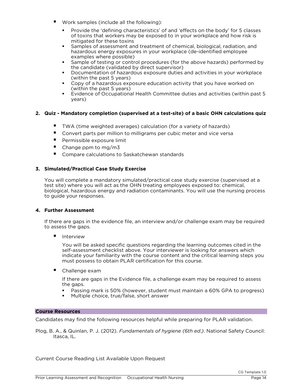- Work samples (include all the following):
	- Provide the 'defining characteristics' of and 'effects on the body' for 5 classes of toxins that workers may be exposed to in your workplace and how risk is mitigated for these toxins
	- **Samples of assessment and treatment of chemical, biological, radiation, and samples of assessment and treatment of chemical, biological, radiation, and hazardous energy exposures in your workplace (de-identified employee** hazardous energy exposures in your workplace (de-identified employee
	- **Sample of testing or control procedures (for the above hazards) performed by**<br>the candidate (validated by direct supervisor)
	- **the candidate of the candidate of the candidate of hazardous exposure duties and activities in your workplace**<br>(within the past 5 years)
	- **Copy of a hazardous exposure education activity that you have worked on**<br>
	(within the past 5 years)
	- **Evidence of Occupational Health Committee duties and activities (within past 5** years) years)

### **2. Quiz - Mandatory completion (supervised at a test-site) of a basic OHN calculations quiz**

- TWA (time weighted averages) calculation (for a variety of hazards)<br>■ Convert parts per million to milligrams per cubic meter and vice versa
- Convert parts per million to milligrams per cubic meter and vice versa
- **Permissible exposure limit**
- Change ppm to mg/m3
- Compare calculations to Saskatchewan standards

### **3. Simulated/Practical Case Study Exercise**

You will complete a mandatory simulated/practical case study exercise (supervised at a<br>test site) where you will act as the OHN treating employees exposed to: chemical, biological, hazardous energy and radiation contaminants. You will use the nursing process  $\frac{1}{2}$  biological, hazardous energy and radiation contaminants. You will use the nursing process to guide your responses.

#### 4. Further Assessment **4. Further Assessment**

If there are gaps in the evidence file, an interview and/or challenge exam may be required to assess the gaps.

■ Interview<br>You will be asked specific questions regarding the learning outcomes cited in the self-assessment checklist above. Your interviewer is looking for answers which indicate your familiarity with the course content and the critical learning steps you  $\frac{1}{100}$  in the content and the content and the course content and the course content and the critical learning steps you must possess to obtain PLAR certification for this course.

■ Challenge exam<br>If there are gaps in the Evidence file, a challenge exam may be required to assess If the are gaps in the Evidence file, a challenge examining to required to assess

- **The gapan**<br>**•** Passing mark is 50% (however, student must maintain a 60% GPA to progress)<br>• Multiple choice true/false short answer
- Multiple choice, true/false, short answer

**Course Resources**<br>Candidates may find the following resources helpful while preparing for PLAR validation. Candidates may find the following resources helpful while preparing for PLAR validation.

Plog, B. A., & Quinlan, P. J. (2012). *Fundamentals of hygiene (6th ed.)*. National Safety Council: Itasca, IL.

Current Course Reading List Available Upon Request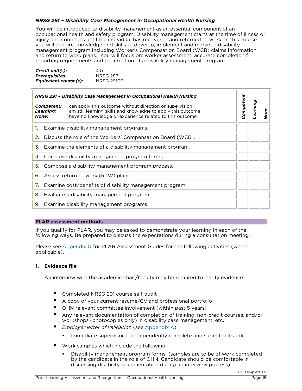# <span id="page-14-0"></span>*NRSG 291 – Disability Case Management in Occupational Health Nursing*

occupational health and safety program. Disability management starts at the time of illness or injury and continues until the individual has recovered and returned to work. In this course you will acquire knowledge and skills to develop, implement and market a disability management program including Worker's Compensation Board (WCB) claims information and return to work plans. You will focus on: worker assessment, accurate completion f  $\alpha$  reporting requirements and the creation of a disability management program. reporting requirements and the creation of a disability management program.

| Credit unit(s):       | 4.O               |
|-----------------------|-------------------|
| <b>Prerequisites:</b> | <b>NRSG 287</b>   |
| Equivalent course(s): | <b>NRSG 291CE</b> |
|                       |                   |

| NRSG 291 - Disability Case Management in Occupational Health Nursing |                                                          |                                                                                                                                                                                          |           |          |      |
|----------------------------------------------------------------------|----------------------------------------------------------|------------------------------------------------------------------------------------------------------------------------------------------------------------------------------------------|-----------|----------|------|
|                                                                      | <b>Competent:</b><br>Learning:<br>None:                  | I can apply this outcome without direction or supervision<br>I am still learning skills and knowledge to apply this outcome<br>I have no knowledge or experience related to this outcome | Competent | Learning | None |
| 1.                                                                   |                                                          | Examine disability management programs.                                                                                                                                                  |           |          |      |
| 2.                                                                   |                                                          | Discuss the role of the Workers' Compensation Board (WCB).                                                                                                                               |           |          |      |
| 3.                                                                   | Examine the elements of a disability management program. |                                                                                                                                                                                          |           |          |      |
| 4.                                                                   | Compose disability management program forms.             |                                                                                                                                                                                          |           |          |      |
| 5.                                                                   | Compose a disability management program process.         |                                                                                                                                                                                          |           |          |      |
| 6.                                                                   | Assess return to work (RTW) plans.                       |                                                                                                                                                                                          |           |          |      |
| 7.                                                                   | Examine cost/benefits of disability management program.  |                                                                                                                                                                                          |           |          |      |
| 8.                                                                   | Evaluate a disability management program.                |                                                                                                                                                                                          |           |          |      |
| 9. Examine disability management programs.                           |                                                          |                                                                                                                                                                                          |           |          |      |

**PLAR assessment methods**<br>If you qualify for PLAR, you may be asked to demonstrate your learning in each of the following ways. Be prepared to discuss the expectations during a consultation meeting. following ways. [Be prep](#page-26-1)ared to discuss the expectations during a consultation meeting.

Please see Appendix D for PLAR Assessment Guides for the following activities (where applicable). applicable).

### **1. Evidence file**

An interview with the academic chair/faculty may be required to clarify evidence.

- Completed NRSG 291 course self-audit<br>■ A copy of your current resume/CV and
- A copy of your current resume/CV and professional portfolio<br>A OHN relevant committee involvement (within past 5 years)
- OHN relevant committee involvement (within past 5 years)
- Any relevant documentation of completion of training, non-credit courses, and/or workshops (photocopies only) in disability case management, etc.
- *Employer letter of validation* (see Appendix A)
	- Immediate supervisor to independently complete and submit self-audit
- 
- Work samples which include the following:<br>● Disability management program forms: (samples are to be of work completed by the candidate in the role of OHN. Candidate should be comfortable in discussing disability documentation during an interview process) discussing disability documentation during an interview process)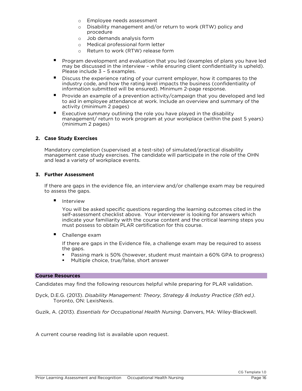- $\circ$  Employee needs assessment<br> $\circ$  Disability management and/o
- Disability management and/or return to work (RTW) policy and procedure
- o Job demands analysis form
- o Medical professional form letter<br>
o Return to work (RTW) release fo
- Return to work (RTW) release form
- Program development and evaluation that you led (examples of plans you have led may be discussed in the interview while ensuring client confidentiality is upheld). Please include  $3 - 5$  examples.
- **Please include 3 5 compares.**<br>Discuss the experience rating of your current employer, how it compares to the industry code, and how the rating level impacts the business (confidentiality of industry code, and how the rating level impacts the business (confidentiality of information submitted will be ensured). Minimum 2-page response.
- **EXAMPLE ENSURED SUBMITTED SUBMITTED**, MINIMUM 2-page response.<br>
Provide an example of a prevention activity/campaign that you developed and led<br>
to aid in employee attendance at work. Include an overview and summary of th to aid in employee attendance at work. Include an overview and summary of the activity (minimum 2 pages)
- **Executive summary outlining the role you have played in the disability**<br>management/ return to work program at your workplace (within the p. management/ return to work program at your workplace (within the past 5 years)<br>(minimum 2 pages)  $\sum_{i=1}^{n}$

#### **2. Case Study Exercises**

Mandatory completion (supervised at a test-site) of simulated/practical disability  $m_{\rm B}$  and lead a variety of workplace events. The candidate will participate in the role of the OHN and lead a variety of workplace events.

#### 3. Further Assessment **3. Further Assessment**

If there are gaps in the evidence file, an interview and/or challenge exam may be required to assess the gaps. to assess the gaps.

■ Interview<br>You will be asked specific questions regarding the learning outcomes cited in the self-assessment checklist above. Your interviewer is looking for answers which indicate your familiarity with the course content and the critical learning steps you must possess to obtain PLAR certification for this course. must possess to obtain PLAR certification for this course.

■ Challenge exam<br>If there are gaps in the Evidence file, a challenge exam may be required to assess  $\frac{1}{2}$  the caps in the Evidence file, a challenge example to assess the caps of  $\frac{1}{2}$ 

- 11 Septer<br>• Passing mark is 50% (however, student must maintain a 60% GPA to progress)<br>• Multiple choice, true/false, short answer
- Multiple choice, true/false, short answer

#### **Course Resources**

Candidates may find the following resources helpful while preparing for PLAR validation. Candidates may find the following resources helpful while preparing for PLAR validation.

Dyck, D.E.G. (2013). *Disability Management: Theory, Strategy & Industry Practice (5th ed.)*. Toronto, ON: Lexistence

Guzik, A. (2013). *Essentials for Occupational Health Nursing*. Danvers, MA: Wiley-Blackwell.

A current course reading list is available upon request.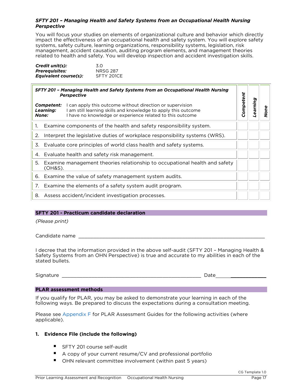# <span id="page-16-0"></span>*SFTY 201 – Managing Health and Safety Systems from an Occupational Health Nursing*

You will focus your studies on elements of organizational culture and behavior which directly impact the effectiveness of an occupational health and safety system. You will explore safety systems, safety culture, learning organizations, responsibility systems, legislation, risk management, accident causation, auditing program elements, and management theories related to health and safety. You will develop inspection and accident investigation skills. related to health and safety. You will develop inspection and accident investigation skills.

| Credit unit(s):       | .3.O            |
|-----------------------|-----------------|
| <b>Prerequisites:</b> | <b>NRSG 287</b> |
| Equivalent course(s): | SFTY 201CE      |
|                       |                 |

<span id="page-16-1"></span>

| SFTY 201 - Managing Health and Safety Systems from an Occupational Health Nursing<br><b>Perspective</b> |                                  |                                                                                                                                                                                          |           |         |   |
|---------------------------------------------------------------------------------------------------------|----------------------------------|------------------------------------------------------------------------------------------------------------------------------------------------------------------------------------------|-----------|---------|---|
|                                                                                                         | Competent:<br>Learning:<br>None: | I can apply this outcome without direction or supervision<br>I am still learning skills and knowledge to apply this outcome<br>I have no knowledge or experience related to this outcome | Competent | earning | č |
| 1.                                                                                                      |                                  | Examine components of the health and safety responsibility system.                                                                                                                       |           |         |   |
| 2.                                                                                                      |                                  | Interpret the legislative duties of workplace responsibility systems (WRS).                                                                                                              |           |         |   |
| 3.                                                                                                      |                                  | Evaluate core principles of world class health and safety systems.                                                                                                                       |           |         |   |
|                                                                                                         |                                  | 4. Evaluate health and safety risk management.                                                                                                                                           |           |         |   |
| 5.                                                                                                      | $(OH8S)$ .                       | Examine management theories relationship to occupational health and safety                                                                                                               |           |         |   |
|                                                                                                         |                                  | 6. Examine the value of safety management system audits.                                                                                                                                 |           |         |   |
| 7.                                                                                                      |                                  | Examine the elements of a safety system audit program.                                                                                                                                   |           |         |   |
|                                                                                                         |                                  | 8. Assess accident/incident investigation processes.                                                                                                                                     |           |         |   |

### **SFTY 201 - Practicum candidate declaration**

*(Please print)*

Candidate name \_\_\_\_\_\_\_\_\_\_\_\_\_\_\_\_\_\_\_\_\_\_\_\_\_\_\_\_\_\_\_\_\_\_\_\_\_\_\_\_\_\_\_\_\_\_\_\_\_\_\_\_\_\_\_\_\_\_\_\_\_\_\_

I decree that the information provided in the above self-audit (SFTY 201 - Managing Health & Safety Systems from an OHN Perspective) is true and accurate to my abilities in each of the stated bullets.

 $S_{\rm 25}$  and  $S_{\rm 25}$  and  $S_{\rm 25}$  are  $Z_{\rm 25}$  and  $Z_{\rm 25}$  are  $Z_{\rm 25}$  and  $Z_{\rm 25}$  are  $Z_{\rm 25}$  and  $Z_{\rm 25}$ 

**PLAR assessment methods**<br>If you qualify for PLAR, you may be asked to demonstrate your learning in each of the  $I_{\rm 1}$  following ways. Be prepared to discuss the expectations during a consultation meeting following [ways. Be prep](#page-29-1)ared to discuss the expectations during a consultation meeting.

Please see Appendix F for PLAR Assessment Guides for the following activities (where  $\overline{\phantom{a}}$ applicable).

#### **1. Evidence File (include the following)**

- SFTY 201 course self-audit
- A copy of your current resume/CV and professional portfolio
- OHN relevant committee involvement (within past 5 years)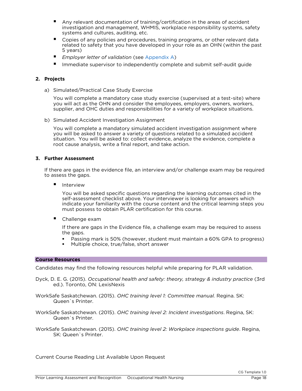- Any relevant documentation of training/certification in the areas of accident investigation and management, WHMIS, workplace responsibility systems, safety systems and cultures, auditing, etc.
- systems and cultures, auditing, etc.<br>
Copies of any policies and procedures, training programs, or other relevant data<br>
related to safety that you have developed in your role as an OHN (within the pas related to safety that you have developed in your role as an OHN (within the past
- **Employer letter of validation (see [Appendix A\)](#page-19-1)**<br>**Englepse lists away is a training and attacks aggregate**
- Immediate supervisor to independently complete and submit self-audit guide

### **2. Projects**

a) Simulated/Practical Case Study Exercise<br>You will complete a mandatory case study exercise (supervised at a test-site) where you will act as the OHN and consider the employees, employers, owners, workers, supplier, and OHC duties and responsibilities for a variety of workplace situations. supplier, and OHC duties and responsibilities for a variety of workplace situations.

b) Simulated Accident Investigation Assignment

You will complete a mandatory simulated accident investigation assignment where you will be asked to answer a variety of questions related to a simulated accident situation. You will be asked to: collect evidence, analyze the evidence, complete a  $\frac{1}{2}$  root cause analysis, write a final report, and take action root cause analysis, write a final report, and take action.

### **3. Further Assessment**

If there are gaps in the evidence file, an interview and/or challenge examing be required.<br>In assess the gaps, to assess the gaps.

■ Interview<br>You will be asked specific questions regarding the learning outcomes cited in the self-assessment checklist above. Your interviewer is looking for answers which indicate your familiarity with the course content and the critical learning steps you  $\frac{1}{100}$  in the content and the content and the course content and the course content and the critical learning steps you must possess to obtain PLAR certification for this course.

■ Challenge exam<br>If there are gaps in the Evidence file, a challenge exam may be required to assess If the are gaps in the Evidence file, a challenge examing be required to assess

- **The gapa**<br>**•** Passing mark is 50% (however, student must maintain a 60% GPA to progress)<br>• Multiple choice true/false short answer
- Multiple choice, true/false, short answer

#### **Course Resources Course Resources**

Candidates may find the following resources helpful while preparing for PLAR validation.

- Dyck, D. E. G. (2015). *Occupational health and safety: theory, strategy & industry practice* (3rd ed.). To exist the contract of the contract of the contract of the contract of the contract of the contract of
- WorkSafe Saskatchewan. (2015). *OHC training level 1: Committee manual.* Regina. SK: Queen`s Printer.
- WorkSafe Saskatchewan. (2015). *OHC training level 2: Incident investigations*. Regina, SK: Queen`s Printer.
- WorkSafe Saskatchewan. (2015). *OHC training level 2: Workplace inspections guide*. Regina, SK: Queen`s Printer.

Current Course Reading List Available Upon Request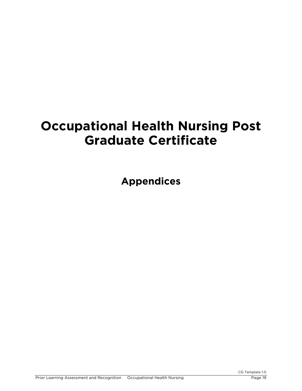# <span id="page-18-0"></span>**Occupational Health Nursing Post Graduate Certificate**

**Appendices**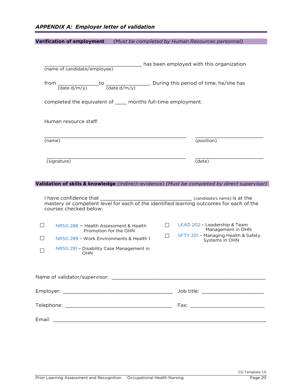<span id="page-19-1"></span><span id="page-19-0"></span>

| <b>Verification of employment</b>                                                                    | (Must be completed by Human Resources personnel)                 |  |  |  |  |  |  |
|------------------------------------------------------------------------------------------------------|------------------------------------------------------------------|--|--|--|--|--|--|
|                                                                                                      |                                                                  |  |  |  |  |  |  |
| has been employed with this organization<br>(name of candidate/employee)                             |                                                                  |  |  |  |  |  |  |
| from $\frac{1}{(date\ d/m/y)}$ to $\frac{1}{(date\ d/m/y)}$ . During this period of time, he/she has |                                                                  |  |  |  |  |  |  |
| completed the equivalent of _____ months full-time employment.                                       |                                                                  |  |  |  |  |  |  |
| Human resource staff:                                                                                |                                                                  |  |  |  |  |  |  |
| (name)                                                                                               | (position)                                                       |  |  |  |  |  |  |
| (signature)                                                                                          | (date)                                                           |  |  |  |  |  |  |
| Validation of skills & knowledge (Indirect-evidence) (Must be completed by direct supervisor)        |                                                                  |  |  |  |  |  |  |
|                                                                                                      |                                                                  |  |  |  |  |  |  |
| courses checked below:                                                                               |                                                                  |  |  |  |  |  |  |
| $\mathsf{L}$<br>NRSG 288 - Health Assessment & Health<br>Promotion for the OHN                       | LEAD 202 - Leadership & Team<br>$\Box$<br>Management in OHN      |  |  |  |  |  |  |
| NRSG 289 - Work Environments & Health 1                                                              | SFTY 201 - Managing Health & Safety<br>$\perp$<br>Systems in OHN |  |  |  |  |  |  |
| NRSG 291 - Disability Case Management in<br><b>OHN</b>                                               |                                                                  |  |  |  |  |  |  |
|                                                                                                      |                                                                  |  |  |  |  |  |  |
|                                                                                                      |                                                                  |  |  |  |  |  |  |
|                                                                                                      |                                                                  |  |  |  |  |  |  |
|                                                                                                      |                                                                  |  |  |  |  |  |  |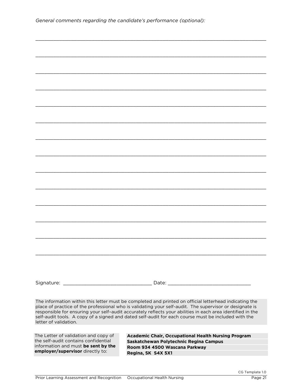| General comments regarding the candidate's performance (optional): |  |  |
|--------------------------------------------------------------------|--|--|
|                                                                    |  |  |

| letter of validation.                                                        | The information within this letter must be completed and printed on official letterhead indicating the<br>place of practice of the professional who is validating your self-audit. The supervisor or designate is<br>responsible for ensuring your self-audit accurately reflects your abilities in each area identified in the<br>self-audit tools. A copy of a signed and dated self-audit for each course must be included with the |
|------------------------------------------------------------------------------|----------------------------------------------------------------------------------------------------------------------------------------------------------------------------------------------------------------------------------------------------------------------------------------------------------------------------------------------------------------------------------------------------------------------------------------|
|                                                                              |                                                                                                                                                                                                                                                                                                                                                                                                                                        |
| The Letter of validation and copy of<br>the self-audit contains confidential | Academic Chair, Occupational Health Nursing Program                                                                                                                                                                                                                                                                                                                                                                                    |
| information and must be sent by the                                          | Saskatchewan Polytechnic Regina Campus<br>Room 934 4500 Wascana Parkway                                                                                                                                                                                                                                                                                                                                                                |
| employer/supervisor directly to:                                             | Regina, SK S4X 5X1                                                                                                                                                                                                                                                                                                                                                                                                                     |
|                                                                              |                                                                                                                                                                                                                                                                                                                                                                                                                                        |

\_\_\_\_\_\_\_\_\_\_\_\_\_\_\_\_\_\_\_\_\_\_\_\_\_\_\_\_\_\_\_\_\_\_\_\_\_\_\_\_\_\_\_\_\_\_\_\_\_\_\_\_\_\_\_\_\_\_\_\_\_\_\_\_\_\_\_\_\_\_\_\_\_\_\_\_\_\_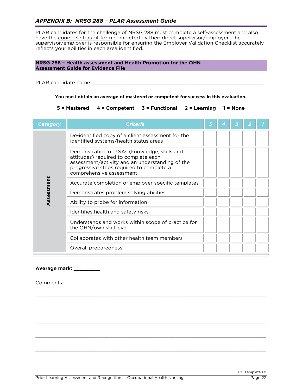### <span id="page-21-1"></span><span id="page-21-0"></span>*APPENDIX B: NRSG 288 – PLAR Assessment Guide*

PLAR candidates for the challenge of NRSG 288 must complete a self-assessment and also have the course self-audit form completed by their direct supervisor/employer. The supervisor/employer is responsible for ensuring the Employer Validation Checklist accurately supervisory is responsible for example for ensuring the Employer Valuation Checklist accurately reflects your abilities in each area identified.

### **NRSG 288 – Health assessment and Health Promotion for the OHN Assessment Guide for Evidence File**

PLAR candidate name: \_\_\_\_\_\_\_\_\_\_\_\_\_\_\_\_\_\_\_\_\_\_\_\_\_\_\_\_\_\_\_\_\_\_\_\_\_\_\_\_\_\_\_\_\_\_\_\_\_\_\_\_\_\_\_\_\_\_

**You must obtain an average of mastered or competent for success in this evaluation.**

#### **5 = Mastered 4 = Competent 3 = Functional 2 = Learning 1 = None**

| <b>Category</b> | <b>Criteria</b>                                                                                                                                                                                                 | 5 |  |  |
|-----------------|-----------------------------------------------------------------------------------------------------------------------------------------------------------------------------------------------------------------|---|--|--|
|                 | De-identified copy of a client assessment for the<br>identified systems/health status areas                                                                                                                     |   |  |  |
|                 | Demonstration of KSAs (knowledge, skills and<br>attitudes) required to complete each<br>assessment/activity and an understanding of the<br>progressive steps required to complete a<br>comprehensive assessment |   |  |  |
| Assessment      | Accurate completion of employer specific templates                                                                                                                                                              |   |  |  |
|                 | Demonstrates problem solving abilities                                                                                                                                                                          |   |  |  |
|                 | Ability to probe for information                                                                                                                                                                                |   |  |  |
|                 | Identifies health and safety risks                                                                                                                                                                              |   |  |  |
|                 | Understands and works within scope of practice for<br>the OHN/own skill level                                                                                                                                   |   |  |  |
|                 | Collaborates with other health team members                                                                                                                                                                     |   |  |  |
|                 | Overall preparedness                                                                                                                                                                                            |   |  |  |

\_\_\_\_\_\_\_\_\_\_\_\_\_\_\_\_\_\_\_\_\_\_\_\_\_\_\_\_\_\_\_\_\_\_\_\_\_\_\_\_\_\_\_\_\_\_\_\_\_\_\_\_\_\_\_\_\_\_\_\_\_\_\_\_\_\_\_\_\_\_\_\_\_\_\_\_\_\_

\_\_\_\_\_\_\_\_\_\_\_\_\_\_\_\_\_\_\_\_\_\_\_\_\_\_\_\_\_\_\_\_\_\_\_\_\_\_\_\_\_\_\_\_\_\_\_\_\_\_\_\_\_\_\_\_\_\_\_\_\_\_\_\_\_\_\_\_\_\_\_\_\_\_\_\_\_\_

\_\_\_\_\_\_\_\_\_\_\_\_\_\_\_\_\_\_\_\_\_\_\_\_\_\_\_\_\_\_\_\_\_\_\_\_\_\_\_\_\_\_\_\_\_\_\_\_\_\_\_\_\_\_\_\_\_\_\_\_\_\_\_\_\_\_\_\_\_\_\_\_\_\_\_\_\_\_

\_\_\_\_\_\_\_\_\_\_\_\_\_\_\_\_\_\_\_\_\_\_\_\_\_\_\_\_\_\_\_\_\_\_\_\_\_\_\_\_\_\_\_\_\_\_\_\_\_\_\_\_\_\_\_\_\_\_\_\_\_\_\_\_\_\_\_\_\_\_\_\_\_\_\_\_\_\_

\_\_\_\_\_\_\_\_\_\_\_\_\_\_\_\_\_\_\_\_\_\_\_\_\_\_\_\_\_\_\_\_\_\_\_\_\_\_\_\_\_\_\_\_\_\_\_\_\_\_\_\_\_\_\_\_\_\_\_\_\_\_\_\_\_\_\_\_\_\_\_\_\_\_\_\_\_\_

#### **Average mark: \_\_\_\_\_\_\_\_\_**

Comments: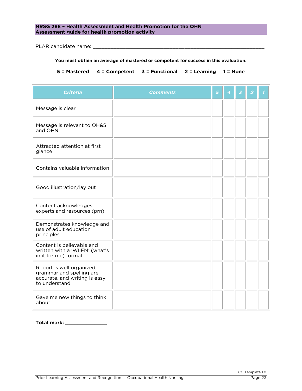### **NRSG 288 PROMOTION CONTROLLER CONSIDERED ASSESSMENT AND HEALTH ASSESSMENT AND HEALTH PROPERTY OF THE ONLY THE ONLY THE ONLY THE ONLY THE ONLY THE CONSIDERED ASSESSMENT AND THE ONLY THE ONLY THE ONLY THE ONLY THE ONLY THE Assessment guide for health promotion activity**

 $P$  are candidate name:  $\frac{1}{2}$  and  $\frac{1}{2}$  and  $\frac{1}{2}$  and  $\frac{1}{2}$  and  $\frac{1}{2}$  and  $\frac{1}{2}$  and  $\frac{1}{2}$  and  $\frac{1}{2}$  and  $\frac{1}{2}$  and  $\frac{1}{2}$  and  $\frac{1}{2}$  and  $\frac{1}{2}$  and  $\frac{1}{2}$  and  $\frac{1}{2}$  and

 $\overline{a}$ 

#### **You must obtain an average of mastered or competent for success in this evaluation.**

**5 = Mastered 4 = Competent 3 = Functional 2 = Learning 1 = None**

| <b>Criteria</b>                                                                                         | <b>Comments</b> | 5 | 4 | $\overline{3}$ | $\overline{2}$ |  |
|---------------------------------------------------------------------------------------------------------|-----------------|---|---|----------------|----------------|--|
| Message is clear                                                                                        |                 |   |   |                |                |  |
| Message is relevant to OH&S<br>and OHN                                                                  |                 |   |   |                |                |  |
| Attracted attention at first<br>glance                                                                  |                 |   |   |                |                |  |
| Contains valuable information                                                                           |                 |   |   |                |                |  |
| Good illustration/lay out                                                                               |                 |   |   |                |                |  |
| Content acknowledges<br>experts and resources (prn)                                                     |                 |   |   |                |                |  |
| Demonstrates knowledge and<br>use of adult education<br>principles                                      |                 |   |   |                |                |  |
| Content is believable and<br>written with a 'WIIFM' (what's<br>in it for me) format                     |                 |   |   |                |                |  |
| Report is well organized,<br>grammar and spelling are<br>accurate, and writing is easy<br>to understand |                 |   |   |                |                |  |
| Gave me new things to think<br>about                                                                    |                 |   |   |                |                |  |

### **Total mark: \_\_\_\_\_\_\_\_\_\_\_\_\_\_**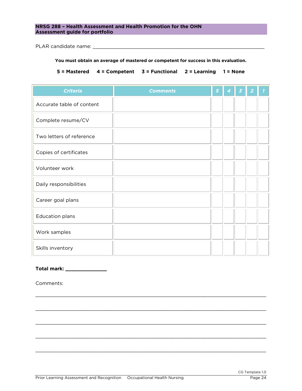### **NRSG 288 – Health Assessment and Health Promotion for the OHN Assessment guide for portfolio**

PLAR candidate name: \_\_\_\_\_\_\_\_\_\_\_\_\_\_\_\_\_\_\_\_\_\_\_\_\_\_\_\_\_\_\_\_\_\_\_\_\_\_\_\_\_\_\_\_\_\_\_\_\_\_\_\_\_\_\_\_\_\_

#### **You must obtain an average of mastered or competent for success in this evaluation.**

**5 = Mastered 4 = Competent 3 = Functional 2 = Learning 1 = None**

| <b>Criteria</b>           | <b>Comments</b> | 5 | 4 | 3 | 2 |  |
|---------------------------|-----------------|---|---|---|---|--|
| Accurate table of content |                 |   |   |   |   |  |
| Complete resume/CV        |                 |   |   |   |   |  |
| Two letters of reference  |                 |   |   |   |   |  |
| Copies of certificates    |                 |   |   |   |   |  |
| Volunteer work            |                 |   |   |   |   |  |
| Daily responsibilities    |                 |   |   |   |   |  |
| Career goal plans         |                 |   |   |   |   |  |
| <b>Education plans</b>    |                 |   |   |   |   |  |
| Work samples              |                 |   |   |   |   |  |
| Skills inventory          |                 |   |   |   |   |  |

\_\_\_\_\_\_\_\_\_\_\_\_\_\_\_\_\_\_\_\_\_\_\_\_\_\_\_\_\_\_\_\_\_\_\_\_\_\_\_\_\_\_\_\_\_\_\_\_\_\_\_\_\_\_\_\_\_\_\_\_\_\_\_\_\_\_\_\_\_\_\_\_\_\_\_\_\_\_

\_\_\_\_\_\_\_\_\_\_\_\_\_\_\_\_\_\_\_\_\_\_\_\_\_\_\_\_\_\_\_\_\_\_\_\_\_\_\_\_\_\_\_\_\_\_\_\_\_\_\_\_\_\_\_\_\_\_\_\_\_\_\_\_\_\_\_\_\_\_\_\_\_\_\_\_\_\_

\_\_\_\_\_\_\_\_\_\_\_\_\_\_\_\_\_\_\_\_\_\_\_\_\_\_\_\_\_\_\_\_\_\_\_\_\_\_\_\_\_\_\_\_\_\_\_\_\_\_\_\_\_\_\_\_\_\_\_\_\_\_\_\_\_\_\_\_\_\_\_\_\_\_\_\_\_\_

\_\_\_\_\_\_\_\_\_\_\_\_\_\_\_\_\_\_\_\_\_\_\_\_\_\_\_\_\_\_\_\_\_\_\_\_\_\_\_\_\_\_\_\_\_\_\_\_\_\_\_\_\_\_\_\_\_\_\_\_\_\_\_\_\_\_\_\_\_\_\_\_\_\_\_\_\_\_

\_\_\_\_\_\_\_\_\_\_\_\_\_\_\_\_\_\_\_\_\_\_\_\_\_\_\_\_\_\_\_\_\_\_\_\_\_\_\_\_\_\_\_\_\_\_\_\_\_\_\_\_\_\_\_\_\_\_\_\_\_\_\_\_\_\_\_\_\_\_\_\_\_\_\_\_\_\_

#### **Total mark: \_\_\_\_\_\_\_\_\_\_\_\_\_\_**

Comments: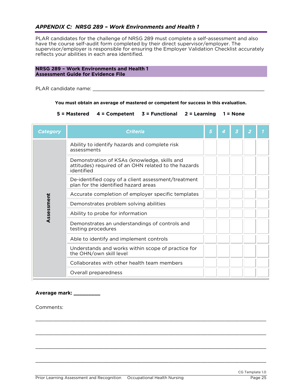### <span id="page-24-1"></span><span id="page-24-0"></span>*APPENDIX C: NRSG 289 – Work Environments and Health 1*

PLAR candidates for the challenge of NRSG 289 must complete a self-assessment and also have the course self-audit form completed by their direct supervisor/employer. The supervisor/employer is responsible for ensuring the Employer Validation Checklist accurately supervisory is responsible for example for ensuring the Employer Value of the Employer Value of the Employer is responsible for each area identified. reflects your abilities in each area identified.

#### NRSG 289 - Work Environments and Health 1 **Assessment Guide for Evidence File Assessment Guide for Evidence File**

PLAR candidate name: \_\_\_\_\_\_\_\_\_\_\_\_\_\_\_\_\_\_\_\_\_\_\_\_\_\_\_\_\_\_\_\_\_\_\_\_\_\_\_\_\_\_\_\_\_\_\_\_\_\_\_\_\_\_\_\_\_\_

**You must obtain an average of mastered or competent for success in this evaluation.**

**5 = Mastered 4 = Competent 3 = Functional 2 = Learning 1 = None**

| <b>Category</b> | <b>Criteria</b>                                                                                                    | 5 | 4 | 3 |  |
|-----------------|--------------------------------------------------------------------------------------------------------------------|---|---|---|--|
|                 | Ability to identify hazards and complete risk<br>assessments                                                       |   |   |   |  |
|                 | Demonstration of KSAs (knowledge, skills and<br>attitudes) required of an OHN related to the hazards<br>identified |   |   |   |  |
|                 | De-identified copy of a client assessment/treatment<br>plan for the identified hazard areas                        |   |   |   |  |
|                 | Accurate completion of employer specific templates                                                                 |   |   |   |  |
| Assessment      | Demonstrates problem solving abilities                                                                             |   |   |   |  |
|                 | Ability to probe for information                                                                                   |   |   |   |  |
|                 | Demonstrates an understandings of controls and<br>testing procedures                                               |   |   |   |  |
|                 | Able to identify and implement controls                                                                            |   |   |   |  |
|                 | Understands and works within scope of practice for<br>the OHN/own skill level                                      |   |   |   |  |
|                 | Collaborates with other health team members                                                                        |   |   |   |  |
|                 | Overall preparedness                                                                                               |   |   |   |  |

\_\_\_\_\_\_\_\_\_\_\_\_\_\_\_\_\_\_\_\_\_\_\_\_\_\_\_\_\_\_\_\_\_\_\_\_\_\_\_\_\_\_\_\_\_\_\_\_\_\_\_\_\_\_\_\_\_\_\_\_\_\_\_\_\_\_\_\_\_\_\_\_\_\_\_\_\_\_

\_\_\_\_\_\_\_\_\_\_\_\_\_\_\_\_\_\_\_\_\_\_\_\_\_\_\_\_\_\_\_\_\_\_\_\_\_\_\_\_\_\_\_\_\_\_\_\_\_\_\_\_\_\_\_\_\_\_\_\_\_\_\_\_\_\_\_\_\_\_\_\_\_\_\_\_\_\_

\_\_\_\_\_\_\_\_\_\_\_\_\_\_\_\_\_\_\_\_\_\_\_\_\_\_\_\_\_\_\_\_\_\_\_\_\_\_\_\_\_\_\_\_\_\_\_\_\_\_\_\_\_\_\_\_\_\_\_\_\_\_\_\_\_\_\_\_\_\_\_\_\_\_\_\_\_\_

\_\_\_\_\_\_\_\_\_\_\_\_\_\_\_\_\_\_\_\_\_\_\_\_\_\_\_\_\_\_\_\_\_\_\_\_\_\_\_\_\_\_\_\_\_\_\_\_\_\_\_\_\_\_\_\_\_\_\_\_\_\_\_\_\_\_\_\_\_\_\_\_\_\_\_\_\_\_

### **Average mark: \_\_\_\_\_\_\_\_\_**

Comments: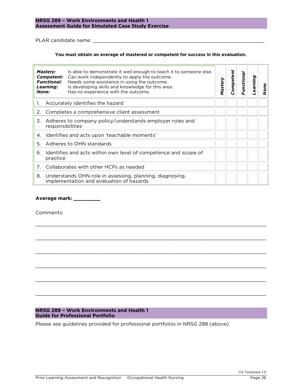### **Assessment Guide for Simulated Case Study E Assessment Guide for Simulated Case Study Exercise**

PLAR candidate name: \_\_\_\_\_\_\_\_\_\_\_\_\_\_\_\_\_\_\_\_\_\_\_\_\_\_\_\_\_\_\_\_\_\_\_\_\_\_\_\_\_\_\_\_\_\_\_\_\_\_\_\_\_\_\_\_\_\_

#### **You must obtain an average of mastered or competent for success in this evaluation.**

|    | Mastery:<br>Competent:<br><b>Functional:</b><br>Learning:<br>None:           | Is able to demonstrate it well enough to teach it to someone else.<br>Can work independently to apply the outcome.<br>Needs some assistance in using the outcome.<br>Is developing skills and knowledge for this area.<br>Has no experience with the outcome. | Mastery | Competent | Functional | earning | None |
|----|------------------------------------------------------------------------------|---------------------------------------------------------------------------------------------------------------------------------------------------------------------------------------------------------------------------------------------------------------|---------|-----------|------------|---------|------|
| 1. |                                                                              | Accurately identifies the hazard                                                                                                                                                                                                                              |         |           |            |         |      |
| 2. |                                                                              | Completes a comprehensive client assessment                                                                                                                                                                                                                   |         |           |            |         |      |
| 3. | Adheres to company policy/understands employer roles and<br>responsibilities |                                                                                                                                                                                                                                                               |         |           |            |         |      |
|    | 4. Identifies and acts upon 'teachable moments'                              |                                                                                                                                                                                                                                                               |         |           |            |         |      |
| 5. |                                                                              | Adheres to OHN standards                                                                                                                                                                                                                                      |         |           |            |         |      |
| 6. | practice                                                                     | Identifies and acts within own level of competence and scope of                                                                                                                                                                                               |         |           |            |         |      |
| 7. |                                                                              | Collaborates with other HCPs as needed                                                                                                                                                                                                                        |         |           |            |         |      |
|    |                                                                              | 8. Understands OHN role in assessing, planning, diagnosing,<br>implementation and evaluation of hazards                                                                                                                                                       |         |           |            |         |      |

\_\_\_\_\_\_\_\_\_\_\_\_\_\_\_\_\_\_\_\_\_\_\_\_\_\_\_\_\_\_\_\_\_\_\_\_\_\_\_\_\_\_\_\_\_\_\_\_\_\_\_\_\_\_\_\_\_\_\_\_\_\_\_\_\_\_\_\_\_\_\_\_\_\_\_\_\_\_

\_\_\_\_\_\_\_\_\_\_\_\_\_\_\_\_\_\_\_\_\_\_\_\_\_\_\_\_\_\_\_\_\_\_\_\_\_\_\_\_\_\_\_\_\_\_\_\_\_\_\_\_\_\_\_\_\_\_\_\_\_\_\_\_\_\_\_\_\_\_\_\_\_\_\_\_\_\_

\_\_\_\_\_\_\_\_\_\_\_\_\_\_\_\_\_\_\_\_\_\_\_\_\_\_\_\_\_\_\_\_\_\_\_\_\_\_\_\_\_\_\_\_\_\_\_\_\_\_\_\_\_\_\_\_\_\_\_\_\_\_\_\_\_\_\_\_\_\_\_\_\_\_\_\_\_\_

\_\_\_\_\_\_\_\_\_\_\_\_\_\_\_\_\_\_\_\_\_\_\_\_\_\_\_\_\_\_\_\_\_\_\_\_\_\_\_\_\_\_\_\_\_\_\_\_\_\_\_\_\_\_\_\_\_\_\_\_\_\_\_\_\_\_\_\_\_\_\_\_\_\_\_\_\_\_

\_\_\_\_\_\_\_\_\_\_\_\_\_\_\_\_\_\_\_\_\_\_\_\_\_\_\_\_\_\_\_\_\_\_\_\_\_\_\_\_\_\_\_\_\_\_\_\_\_\_\_\_\_\_\_\_\_\_\_\_\_\_\_\_\_\_\_\_\_\_\_\_\_\_\_\_\_\_

\_\_\_\_\_\_\_\_\_\_\_\_\_\_\_\_\_\_\_\_\_\_\_\_\_\_\_\_\_\_\_\_\_\_\_\_\_\_\_\_\_\_\_\_\_\_\_\_\_\_\_\_\_\_\_\_\_\_\_\_\_\_\_\_\_\_\_\_\_\_\_\_\_\_\_\_\_\_

**Average mark: \_\_\_\_\_\_\_\_\_**

Comments: Comments:

# **NRSG 289 – Work Environments and Health 1**

**Guide for Professional Portfolio** Please see guidelines provided for professional portfolios in NRSG 288 (above)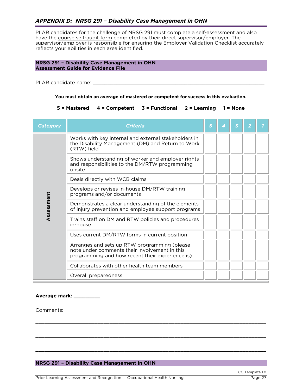<span id="page-26-0"></span>PLAR candidates for the challenge of NRSG 291 must complete a self-assessment and also have the course self-audit form completed by their direct supervisor/employer. The supervisor/employer is responsible for ensuring the Employer Validation Checklist accurately supervisory is responsible for example for ensuring the Employer Valuation Checklist accurately reflects your abilities in each area identified.

### **NRSG 291 – Disability Case Management in OHN Assessment Guide for Evidence File**

PLAR candidate name: \_\_\_\_\_\_\_\_\_\_\_\_\_\_\_\_\_\_\_\_\_\_\_\_\_\_\_\_\_\_\_\_\_\_\_\_\_\_\_\_\_\_\_\_\_\_\_\_\_\_\_\_\_\_\_\_\_\_

#### <span id="page-26-1"></span>**You must obtain an average of mastered or competent for success in this evaluation.**

#### **5 = Mastered 4 = Competent 3 = Functional 2 = Learning 1 = None**

| <b>Category</b> | <b>Criteria</b>                                                                                                                                                                       | 5 | 4 |  |  |
|-----------------|---------------------------------------------------------------------------------------------------------------------------------------------------------------------------------------|---|---|--|--|
|                 | Works with key internal and external stakeholders in<br>the Disability Management (DM) and Return to Work<br>(RTW) field                                                              |   |   |  |  |
|                 | Shows understanding of worker and employer rights<br>and responsibilities to the DM/RTW programming<br>onsite                                                                         |   |   |  |  |
|                 | Deals directly with WCB claims                                                                                                                                                        |   |   |  |  |
|                 | Develops or revises in-house DM/RTW training<br>programs and/or documents<br>Demonstrates a clear understanding of the elements<br>of injury prevention and employee support programs |   |   |  |  |
| Assessment      |                                                                                                                                                                                       |   |   |  |  |
|                 | Trains staff on DM and RTW policies and procedures<br>in-house                                                                                                                        |   |   |  |  |
|                 | Uses current DM/RTW forms in current position                                                                                                                                         |   |   |  |  |
|                 | Arranges and sets up RTW programming (please<br>note under comments their involvement in this<br>programming and how recent their experience is)                                      |   |   |  |  |
|                 | Collaborates with other health team members                                                                                                                                           |   |   |  |  |
|                 | Overall preparedness                                                                                                                                                                  |   |   |  |  |

\_\_\_\_\_\_\_\_\_\_\_\_\_\_\_\_\_\_\_\_\_\_\_\_\_\_\_\_\_\_\_\_\_\_\_\_\_\_\_\_\_\_\_\_\_\_\_\_\_\_\_\_\_\_\_\_\_\_\_\_\_\_\_\_\_\_\_\_\_\_\_\_\_\_\_\_\_\_

\_\_\_\_\_\_\_\_\_\_\_\_\_\_\_\_\_\_\_\_\_\_\_\_\_\_\_\_\_\_\_\_\_\_\_\_\_\_\_\_\_\_\_\_\_\_\_\_\_\_\_\_\_\_\_\_\_\_\_\_\_\_\_\_\_\_\_\_\_\_\_\_\_\_\_\_\_\_

\_\_\_\_\_\_\_\_\_\_\_\_\_\_\_\_\_\_\_\_\_\_\_\_\_\_\_\_\_\_\_\_\_\_\_\_\_\_\_\_\_\_\_\_\_\_\_\_\_\_\_\_\_\_\_\_\_\_\_\_\_\_\_\_\_\_\_\_\_\_\_\_\_\_\_\_\_\_

#### **Average mark: \_\_\_\_\_\_\_\_\_**

Comments:

#### **NRSG 291 – Disability Case Management in OHN**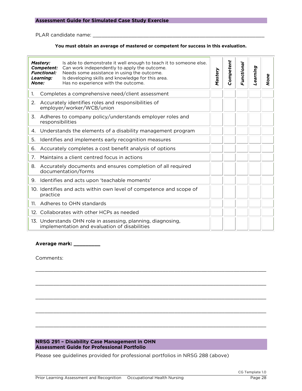#### **Assessment Guide for Simulated Case Study Exercise**

PLAR candidate name: \_\_\_\_\_\_\_\_\_\_\_\_\_\_\_\_\_\_\_\_\_\_\_\_\_\_\_\_\_\_\_\_\_\_\_\_\_\_\_\_\_\_\_\_\_\_\_\_\_\_\_\_\_\_\_\_\_\_

#### **You must obtain an average of mastered or competent for success in this evaluation.**

| None: | Mastery:<br>Competent:<br><b>Functional:</b><br>Learning: | Is able to demonstrate it well enough to teach it to someone else.<br>Can work independently to apply the outcome.<br>Needs some assistance in using the outcome.<br>Is developing skills and knowledge for this area.<br>Has no experience with the outcome. | Mastery | Competent | Functional | Learning | None |
|-------|-----------------------------------------------------------|---------------------------------------------------------------------------------------------------------------------------------------------------------------------------------------------------------------------------------------------------------------|---------|-----------|------------|----------|------|
| 1.    |                                                           | Completes a comprehensive need/client assessment                                                                                                                                                                                                              |         |           |            |          |      |
| 2.    |                                                           | Accurately identifies roles and responsibilities of<br>employer/worker/WCB/union                                                                                                                                                                              |         |           |            |          |      |
| 3.    | responsibilities                                          | Adheres to company policy/understands employer roles and                                                                                                                                                                                                      |         |           |            |          |      |
| 4.    |                                                           | Understands the elements of a disability management program                                                                                                                                                                                                   |         |           |            |          |      |
| 5.    |                                                           | Identifies and implements early recognition measures                                                                                                                                                                                                          |         |           |            |          |      |
| 6.    |                                                           | Accurately completes a cost benefit analysis of options                                                                                                                                                                                                       |         |           |            |          |      |
| 7.    |                                                           | Maintains a client centred focus in actions                                                                                                                                                                                                                   |         |           |            |          |      |
| 8.    |                                                           | Accurately documents and ensures completion of all required<br>documentation/forms                                                                                                                                                                            |         |           |            |          |      |
| 9.    |                                                           | Identifies and acts upon 'teachable moments'                                                                                                                                                                                                                  |         |           |            |          |      |
|       | practice                                                  | 10. Identifies and acts within own level of competence and scope of                                                                                                                                                                                           |         |           |            |          |      |
| 11.   |                                                           | Adheres to OHN standards                                                                                                                                                                                                                                      |         |           |            |          |      |
|       |                                                           | 12. Collaborates with other HCPs as needed                                                                                                                                                                                                                    |         |           |            |          |      |
|       |                                                           | 13. Understands OHN role in assessing, planning, diagnosing,<br>implementation and evaluation of disabilities                                                                                                                                                 |         |           |            |          |      |

\_\_\_\_\_\_\_\_\_\_\_\_\_\_\_\_\_\_\_\_\_\_\_\_\_\_\_\_\_\_\_\_\_\_\_\_\_\_\_\_\_\_\_\_\_\_\_\_\_\_\_\_\_\_\_\_\_\_\_\_\_\_\_\_\_\_\_\_\_\_\_\_\_\_\_\_\_\_

\_\_\_\_\_\_\_\_\_\_\_\_\_\_\_\_\_\_\_\_\_\_\_\_\_\_\_\_\_\_\_\_\_\_\_\_\_\_\_\_\_\_\_\_\_\_\_\_\_\_\_\_\_\_\_\_\_\_\_\_\_\_\_\_\_\_\_\_\_\_\_\_\_\_\_\_\_\_

\_\_\_\_\_\_\_\_\_\_\_\_\_\_\_\_\_\_\_\_\_\_\_\_\_\_\_\_\_\_\_\_\_\_\_\_\_\_\_\_\_\_\_\_\_\_\_\_\_\_\_\_\_\_\_\_\_\_\_\_\_\_\_\_\_\_\_\_\_\_\_\_\_\_\_\_\_\_

\_\_\_\_\_\_\_\_\_\_\_\_\_\_\_\_\_\_\_\_\_\_\_\_\_\_\_\_\_\_\_\_\_\_\_\_\_\_\_\_\_\_\_\_\_\_\_\_\_\_\_\_\_\_\_\_\_\_\_\_\_\_\_\_\_\_\_\_\_\_\_\_\_\_\_\_\_\_

\_\_\_\_\_\_\_\_\_\_\_\_\_\_\_\_\_\_\_\_\_\_\_\_\_\_\_\_\_\_\_\_\_\_\_\_\_\_\_\_\_\_\_\_\_\_\_\_\_\_\_\_\_\_\_\_\_\_\_\_\_\_\_\_\_\_\_\_\_\_\_\_\_\_\_\_\_\_

**Average mark: \_\_\_\_\_\_\_\_\_**

Comments:

## **NRSG 291 – Disability Case Management in OHN**

**Assessment Guide for Professional Portfolio** Please see guidelines provided for professional portfolios in NRSG 288 (above)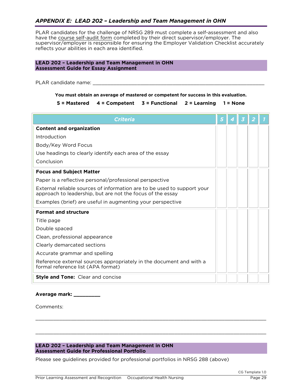### <span id="page-28-0"></span>*APPENDIX E: LEAD 202 – Leadership and Team Management in OHN*

PLAR candidates for the challenge of NRSG 289 must complete a self-assessment and also have the course self-audit form completed by their direct supervisor/employer. The supervisor/employer is responsible for ensuring the Employer Validation Checklist accurately supervisory is responsible for example for ensuring the Employer Valuation Checklist accurately reflects your abilities in each area identified.

### **LEAD 202 – Leadership and Team Management in OHN Assessment Guide for Essay Assignment**

PLAR candidate name: \_\_\_\_\_\_\_\_\_\_\_\_\_\_\_\_\_\_\_\_\_\_\_\_\_\_\_\_\_\_\_\_\_\_\_\_\_\_\_\_\_\_\_\_\_\_\_\_\_\_\_\_\_\_\_\_\_\_

<span id="page-28-1"></span>**You must obtain an average of mastered or competent for success in this evaluation.**<br>5 = Mastered 4 = Competent 3 = Functional 2 = Learning 1 = None **5 = Mastered 4 = Competent 3 = Functional 2 = Learning 1 = None**

| <b>Criteria</b>                                                                                                                       | 5 |  |  |
|---------------------------------------------------------------------------------------------------------------------------------------|---|--|--|
| <b>Content and organization</b>                                                                                                       |   |  |  |
| Introduction                                                                                                                          |   |  |  |
| Body/Key Word Focus                                                                                                                   |   |  |  |
| Use headings to clearly identify each area of the essay                                                                               |   |  |  |
| Conclusion                                                                                                                            |   |  |  |
| <b>Focus and Subject Matter</b>                                                                                                       |   |  |  |
| Paper is a reflective personal/professional perspective                                                                               |   |  |  |
| External reliable sources of information are to be used to support your<br>approach to leadership, but are not the focus of the essay |   |  |  |
| Examples (brief) are useful in augmenting your perspective                                                                            |   |  |  |
| <b>Format and structure</b>                                                                                                           |   |  |  |
| Title page                                                                                                                            |   |  |  |
| Double spaced                                                                                                                         |   |  |  |
| Clean, professional appearance                                                                                                        |   |  |  |
| Clearly demarcated sections                                                                                                           |   |  |  |
| Accurate grammar and spelling                                                                                                         |   |  |  |
| Reference external sources appropriately in the document and with a<br>formal reference list (APA format)                             |   |  |  |
| <b>Style and Tone:</b> Clear and concise                                                                                              |   |  |  |

\_\_\_\_\_\_\_\_\_\_\_\_\_\_\_\_\_\_\_\_\_\_\_\_\_\_\_\_\_\_\_\_\_\_\_\_\_\_\_\_\_\_\_\_\_\_\_\_\_\_\_\_\_\_\_\_\_\_\_\_\_\_\_\_\_\_\_\_\_\_\_\_\_\_\_\_\_\_

\_\_\_\_\_\_\_\_\_\_\_\_\_\_\_\_\_\_\_\_\_\_\_\_\_\_\_\_\_\_\_\_\_\_\_\_\_\_\_\_\_\_\_\_\_\_\_\_\_\_\_\_\_\_\_\_\_\_\_\_\_\_\_\_\_\_\_\_\_\_\_\_\_\_\_\_\_\_

### **Average mark: \_\_\_\_\_\_\_\_\_**

Comments: Comments:

## **LEAD 202 – Leadership and Team Management in OHN**

**Assessment Guide for Professional Portfolio** Please see guidelines provided for professional portfolios in NRSG 288 (above)